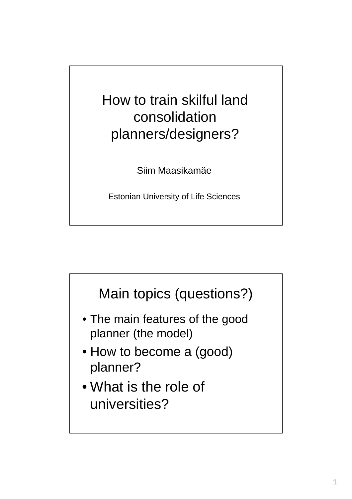How to train skilful land consolidation planners/designers?

Siim Maasikamäe

Estonian University of Life Sciences

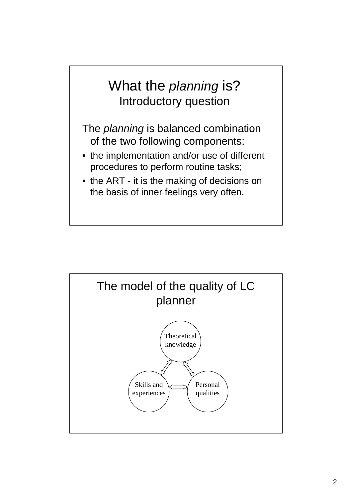## What the *planning* is? Introductory question

The *planning* is balanced combination of the two following components:

- the implementation and/or use of different procedures to perform routine tasks;
- the ART it is the making of decisions on the basis of inner feelings very often.

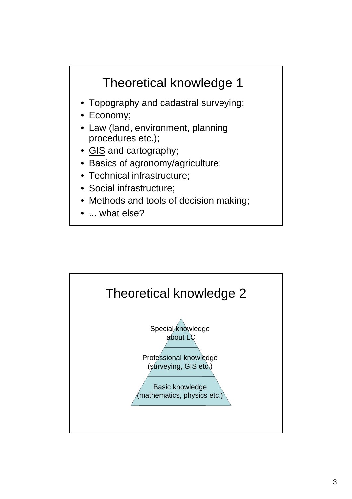## Theoretical knowledge 1

- Topography and cadastral surveying;
- Economy;
- Law (land, environment, planning procedures etc.);
- GIS and cartography;
- Basics of agronomy/agriculture;
- Technical infrastructure;
- Social infrastructure;
- Methods and tools of decision making;
- ... what else?

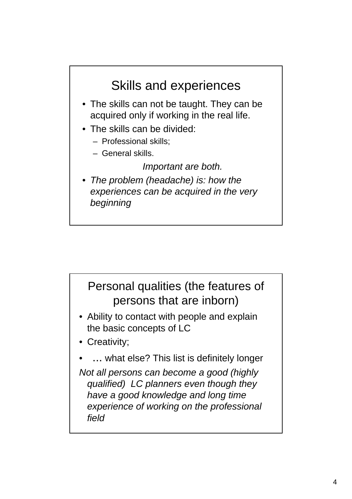

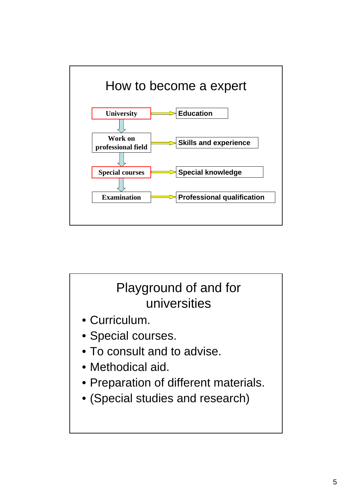

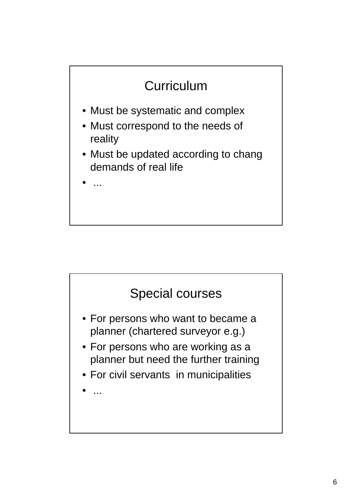

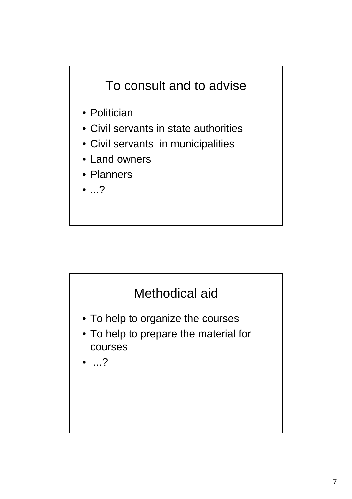

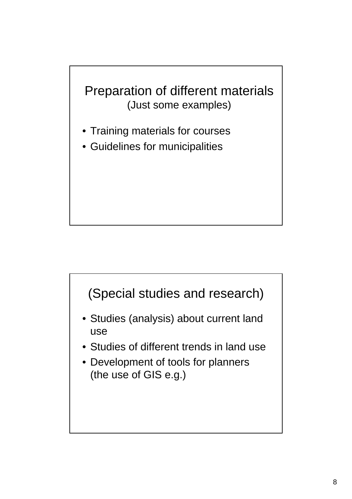## Preparation of different materials (Just some examples)

- Training materials for courses
- Guidelines for municipalities